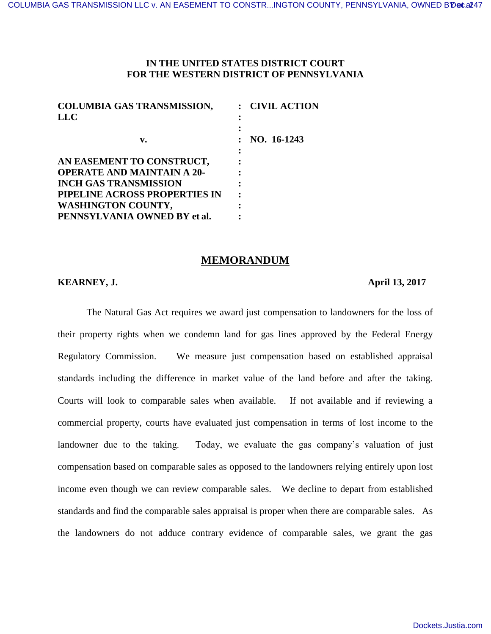## **IN THE UNITED STATES DISTRICT COURT FOR THE WESTERN DISTRICT OF PENNSYLVANIA**

| <b>COLUMBIA GAS TRANSMISSION,</b> | : CIVIL ACTION |
|-----------------------------------|----------------|
| <b>LLC</b>                        |                |
|                                   |                |
| v.                                | NO. 16-1243    |
|                                   |                |
| AN EASEMENT TO CONSTRUCT,         |                |
| <b>OPERATE AND MAINTAIN A 20-</b> |                |
| <b>INCH GAS TRANSMISSION</b>      |                |
| PIPELINE ACROSS PROPERTIES IN     |                |
| <b>WASHINGTON COUNTY,</b>         |                |
| PENNSYLVANIA OWNED BY et al.      |                |

## **MEMORANDUM**

## **KEARNEY, J. April 13, 2017**

 The Natural Gas Act requires we award just compensation to landowners for the loss of their property rights when we condemn land for gas lines approved by the Federal Energy Regulatory Commission. We measure just compensation based on established appraisal standards including the difference in market value of the land before and after the taking. Courts will look to comparable sales when available. If not available and if reviewing a commercial property, courts have evaluated just compensation in terms of lost income to the landowner due to the taking. Today, we evaluate the gas company's valuation of just compensation based on comparable sales as opposed to the landowners relying entirely upon lost income even though we can review comparable sales. We decline to depart from established standards and find the comparable sales appraisal is proper when there are comparable sales. As the landowners do not adduce contrary evidence of comparable sales, we grant the gas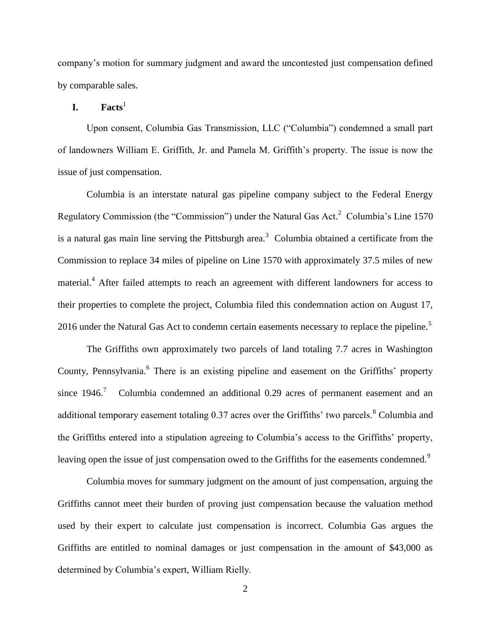company's motion for summary judgment and award the uncontested just compensation defined by comparable sales.

## $I.$  **Facts**<sup>1</sup>

Upon consent, Columbia Gas Transmission, LLC ("Columbia") condemned a small part of landowners William E. Griffith, Jr. and Pamela M. Griffith's property. The issue is now the issue of just compensation.

 Columbia is an interstate natural gas pipeline company subject to the Federal Energy Regulatory Commission (the "Commission") under the Natural Gas Act.<sup>2</sup> Columbia's Line 1570 is a natural gas main line serving the Pittsburgh area.<sup>3</sup> Columbia obtained a certificate from the Commission to replace 34 miles of pipeline on Line 1570 with approximately 37.5 miles of new material.<sup>4</sup> After failed attempts to reach an agreement with different landowners for access to their properties to complete the project, Columbia filed this condemnation action on August 17, 2016 under the Natural Gas Act to condemn certain easements necessary to replace the pipeline.<sup>5</sup>

The Griffiths own approximately two parcels of land totaling 7.7 acres in Washington County, Pennsylvania.<sup>6</sup> There is an existing pipeline and easement on the Griffiths' property since  $1946$ .<sup>7</sup> Columbia condemned an additional 0.29 acres of permanent easement and an additional temporary easement totaling  $0.37$  acres over the Griffiths' two parcels.<sup>8</sup> Columbia and the Griffiths entered into a stipulation agreeing to Columbia's access to the Griffiths' property, leaving open the issue of just compensation owed to the Griffiths for the easements condemned.<sup>9</sup>

Columbia moves for summary judgment on the amount of just compensation, arguing the Griffiths cannot meet their burden of proving just compensation because the valuation method used by their expert to calculate just compensation is incorrect. Columbia Gas argues the Griffiths are entitled to nominal damages or just compensation in the amount of \$43,000 as determined by Columbia's expert, William Rielly.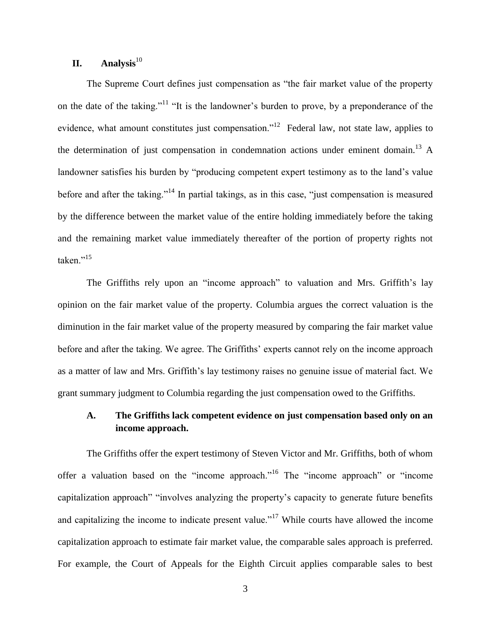# **II. Analysis**<sup>10</sup>

The Supreme Court defines just compensation as "the fair market value of the property on the date of the taking."<sup>11</sup> "It is the landowner's burden to prove, by a preponderance of the evidence, what amount constitutes just compensation."<sup>12</sup> Federal law, not state law, applies to the determination of just compensation in condemnation actions under eminent domain.<sup>13</sup> A landowner satisfies his burden by "producing competent expert testimony as to the land's value before and after the taking."<sup>14</sup> In partial takings, as in this case, "just compensation is measured by the difference between the market value of the entire holding immediately before the taking and the remaining market value immediately thereafter of the portion of property rights not taken."<sup>15</sup>

The Griffiths rely upon an "income approach" to valuation and Mrs. Griffith's lay opinion on the fair market value of the property. Columbia argues the correct valuation is the diminution in the fair market value of the property measured by comparing the fair market value before and after the taking. We agree. The Griffiths' experts cannot rely on the income approach as a matter of law and Mrs. Griffith's lay testimony raises no genuine issue of material fact. We grant summary judgment to Columbia regarding the just compensation owed to the Griffiths.

# **A. The Griffiths lack competent evidence on just compensation based only on an income approach.**

The Griffiths offer the expert testimony of Steven Victor and Mr. Griffiths, both of whom offer a valuation based on the "income approach."<sup>16</sup> The "income approach" or "income capitalization approach" "involves analyzing the property's capacity to generate future benefits and capitalizing the income to indicate present value."<sup>17</sup> While courts have allowed the income capitalization approach to estimate fair market value, the comparable sales approach is preferred. For example, the Court of Appeals for the Eighth Circuit applies comparable sales to best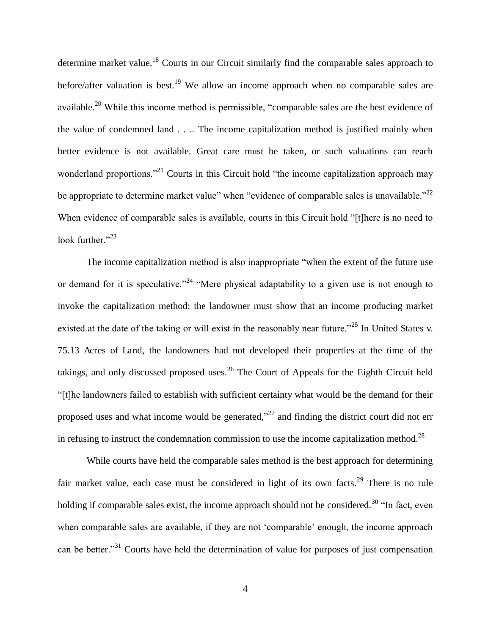determine market value.<sup>18</sup> Courts in our Circuit similarly find the comparable sales approach to before/after valuation is best.<sup>19</sup> We allow an income approach when no comparable sales are available.<sup>20</sup> While this income method is permissible, "comparable sales are the best evidence of the value of condemned land . . .. The income capitalization method is justified mainly when better evidence is not available. Great care must be taken, or such valuations can reach wonderland proportions."<sup>21</sup> Courts in this Circuit hold "the income capitalization approach may be appropriate to determine market value" when "evidence of comparable sales is unavailable."<sup>22</sup> When evidence of comparable sales is available, courts in this Circuit hold "[t]here is no need to look further."<sup>23</sup>

The income capitalization method is also inappropriate "when the extent of the future use or demand for it is speculative."<sup>24</sup> "Mere physical adaptability to a given use is not enough to invoke the capitalization method; the landowner must show that an income producing market existed at the date of the taking or will exist in the reasonably near future."<sup>25</sup> In United States v. 75.13 Acres of Land, the landowners had not developed their properties at the time of the takings, and only discussed proposed uses.<sup>26</sup> The Court of Appeals for the Eighth Circuit held "[t]he landowners failed to establish with sufficient certainty what would be the demand for their proposed uses and what income would be generated,"<sup>27</sup> and finding the district court did not err in refusing to instruct the condemnation commission to use the income capitalization method.<sup>28</sup>

While courts have held the comparable sales method is the best approach for determining fair market value, each case must be considered in light of its own facts.<sup>29</sup> There is no rule holding if comparable sales exist, the income approach should not be considered.<sup>30</sup> "In fact, even when comparable sales are available, if they are not 'comparable' enough, the income approach can be better."<sup>31</sup> Courts have held the determination of value for purposes of just compensation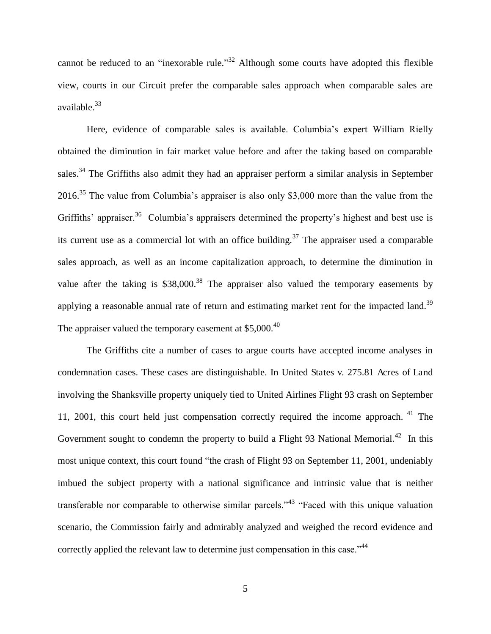cannot be reduced to an "inexorable rule."<sup>32</sup> Although some courts have adopted this flexible view, courts in our Circuit prefer the comparable sales approach when comparable sales are available.<sup>33</sup>

Here, evidence of comparable sales is available. Columbia's expert William Rielly obtained the diminution in fair market value before and after the taking based on comparable sales.<sup>34</sup> The Griffiths also admit they had an appraiser perform a similar analysis in September 2016.<sup>35</sup> The value from Columbia's appraiser is also only \$3,000 more than the value from the Griffiths' appraiser.<sup>36</sup> Columbia's appraisers determined the property's highest and best use is its current use as a commercial lot with an office building.<sup>37</sup> The appraiser used a comparable sales approach, as well as an income capitalization approach, to determine the diminution in value after the taking is  $$38,000$ .<sup>38</sup> The appraiser also valued the temporary easements by applying a reasonable annual rate of return and estimating market rent for the impacted land.<sup>39</sup> The appraiser valued the temporary easement at  $$5,000.<sup>40</sup>$ 

The Griffiths cite a number of cases to argue courts have accepted income analyses in condemnation cases. These cases are distinguishable. In United States v. 275.81 Acres of Land involving the Shanksville property uniquely tied to United Airlines Flight 93 crash on September 11, 2001, this court held just compensation correctly required the income approach. <sup>41</sup> The Government sought to condemn the property to build a Flight 93 National Memorial.<sup>42</sup> In this most unique context, this court found "the crash of Flight 93 on September 11, 2001, undeniably imbued the subject property with a national significance and intrinsic value that is neither transferable nor comparable to otherwise similar parcels."<sup>43</sup> "Faced with this unique valuation scenario, the Commission fairly and admirably analyzed and weighed the record evidence and correctly applied the relevant law to determine just compensation in this case."<sup>44</sup>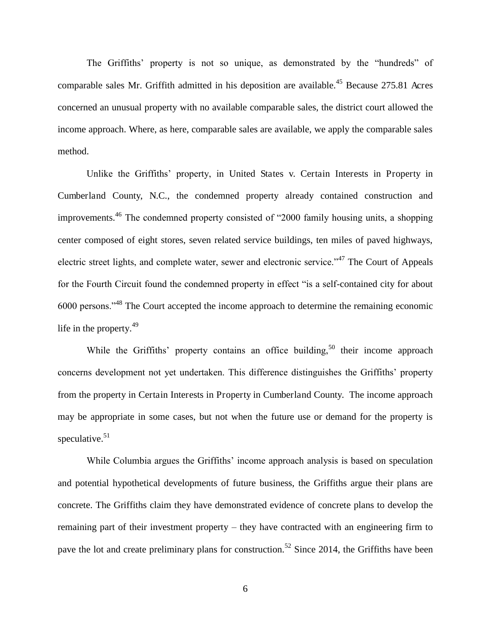The Griffiths' property is not so unique, as demonstrated by the "hundreds" of comparable sales Mr. Griffith admitted in his deposition are available.<sup>45</sup> Because 275.81 Acres concerned an unusual property with no available comparable sales, the district court allowed the income approach. Where, as here, comparable sales are available, we apply the comparable sales method.

Unlike the Griffiths' property, in United States v. Certain Interests in Property in Cumberland County, N.C., the condemned property already contained construction and improvements.<sup>46</sup> The condemned property consisted of "2000 family housing units, a shopping center composed of eight stores, seven related service buildings, ten miles of paved highways, electric street lights, and complete water, sewer and electronic service."<sup>47</sup> The Court of Appeals for the Fourth Circuit found the condemned property in effect "is a self-contained city for about 6000 persons."<sup>48</sup> The Court accepted the income approach to determine the remaining economic life in the property.<sup>49</sup>

While the Griffiths' property contains an office building,<sup>50</sup> their income approach concerns development not yet undertaken. This difference distinguishes the Griffiths' property from the property in Certain Interests in Property in Cumberland County. The income approach may be appropriate in some cases, but not when the future use or demand for the property is speculative. $51$ 

While Columbia argues the Griffiths' income approach analysis is based on speculation and potential hypothetical developments of future business, the Griffiths argue their plans are concrete. The Griffiths claim they have demonstrated evidence of concrete plans to develop the remaining part of their investment property – they have contracted with an engineering firm to pave the lot and create preliminary plans for construction.<sup>52</sup> Since 2014, the Griffiths have been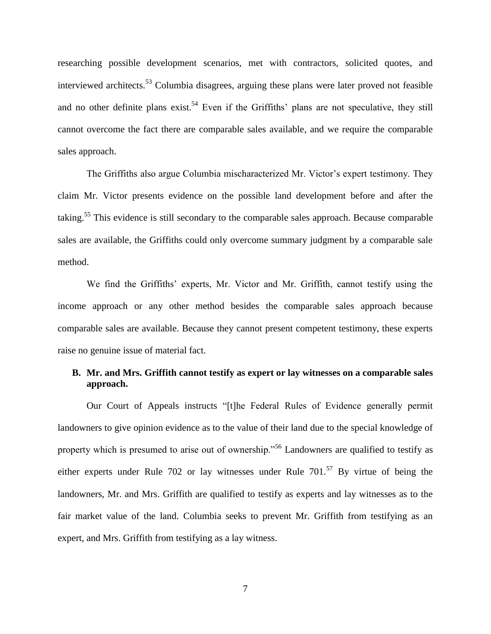researching possible development scenarios, met with contractors, solicited quotes, and interviewed architects.<sup>53</sup> Columbia disagrees, arguing these plans were later proved not feasible and no other definite plans exist.<sup>54</sup> Even if the Griffiths' plans are not speculative, they still cannot overcome the fact there are comparable sales available, and we require the comparable sales approach.

The Griffiths also argue Columbia mischaracterized Mr. Victor's expert testimony. They claim Mr. Victor presents evidence on the possible land development before and after the taking.<sup>55</sup> This evidence is still secondary to the comparable sales approach. Because comparable sales are available, the Griffiths could only overcome summary judgment by a comparable sale method.

We find the Griffiths' experts, Mr. Victor and Mr. Griffith, cannot testify using the income approach or any other method besides the comparable sales approach because comparable sales are available. Because they cannot present competent testimony, these experts raise no genuine issue of material fact.

## **B. Mr. and Mrs. Griffith cannot testify as expert or lay witnesses on a comparable sales approach.**

Our Court of Appeals instructs "[t]he Federal Rules of Evidence generally permit landowners to give opinion evidence as to the value of their land due to the special knowledge of property which is presumed to arise out of ownership."<sup>56</sup> Landowners are qualified to testify as either experts under Rule 702 or lay witnesses under Rule  $701^{57}$  By virtue of being the landowners, Mr. and Mrs. Griffith are qualified to testify as experts and lay witnesses as to the fair market value of the land. Columbia seeks to prevent Mr. Griffith from testifying as an expert, and Mrs. Griffith from testifying as a lay witness.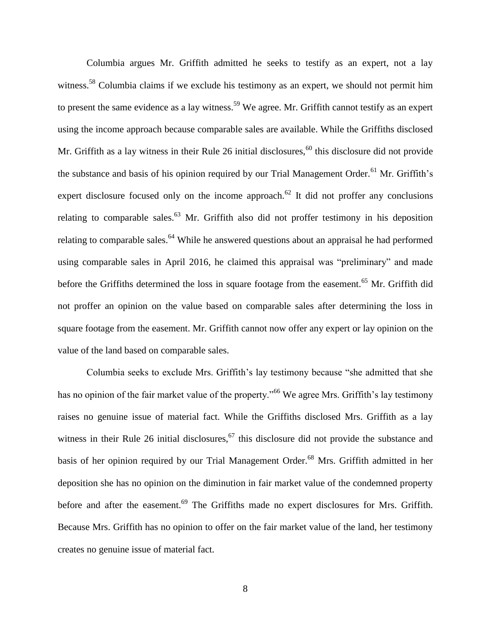Columbia argues Mr. Griffith admitted he seeks to testify as an expert, not a lay witness.<sup>58</sup> Columbia claims if we exclude his testimony as an expert, we should not permit him to present the same evidence as a lay witness.<sup>59</sup> We agree. Mr. Griffith cannot testify as an expert using the income approach because comparable sales are available. While the Griffiths disclosed Mr. Griffith as a lay witness in their Rule 26 initial disclosures,<sup>60</sup> this disclosure did not provide the substance and basis of his opinion required by our Trial Management Order.<sup>61</sup> Mr. Griffith's expert disclosure focused only on the income approach.<sup>62</sup> It did not proffer any conclusions relating to comparable sales.<sup>63</sup> Mr. Griffith also did not proffer testimony in his deposition relating to comparable sales.<sup>64</sup> While he answered questions about an appraisal he had performed using comparable sales in April 2016, he claimed this appraisal was "preliminary" and made before the Griffiths determined the loss in square footage from the easement.<sup>65</sup> Mr. Griffith did not proffer an opinion on the value based on comparable sales after determining the loss in square footage from the easement. Mr. Griffith cannot now offer any expert or lay opinion on the value of the land based on comparable sales.

Columbia seeks to exclude Mrs. Griffith's lay testimony because "she admitted that she has no opinion of the fair market value of the property."<sup>66</sup> We agree Mrs. Griffith's lay testimony raises no genuine issue of material fact. While the Griffiths disclosed Mrs. Griffith as a lay witness in their Rule 26 initial disclosures,  $67$  this disclosure did not provide the substance and basis of her opinion required by our Trial Management Order.<sup>68</sup> Mrs. Griffith admitted in her deposition she has no opinion on the diminution in fair market value of the condemned property before and after the easement.<sup>69</sup> The Griffiths made no expert disclosures for Mrs. Griffith. Because Mrs. Griffith has no opinion to offer on the fair market value of the land, her testimony creates no genuine issue of material fact.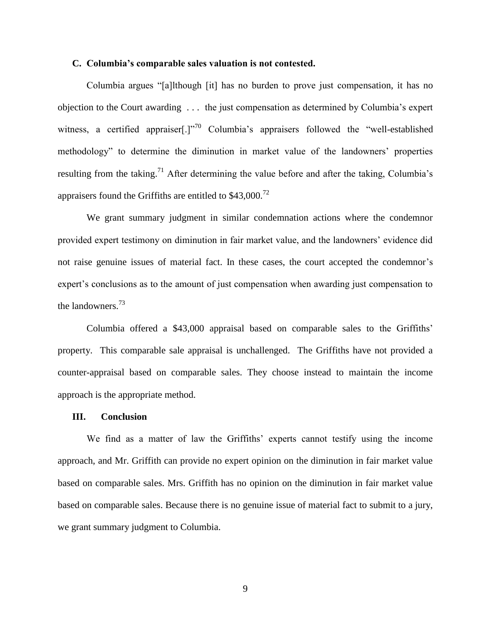### **C. Columbia's comparable sales valuation is not contested.**

Columbia argues "[a]lthough [it] has no burden to prove just compensation, it has no objection to the Court awarding . . . the just compensation as determined by Columbia's expert witness, a certified appraiser[.]"<sup>70</sup> Columbia's appraisers followed the "well-established" methodology" to determine the diminution in market value of the landowners' properties resulting from the taking.<sup>71</sup> After determining the value before and after the taking, Columbia's appraisers found the Griffiths are entitled to \$43,000.<sup>72</sup>

We grant summary judgment in similar condemnation actions where the condemnor provided expert testimony on diminution in fair market value, and the landowners' evidence did not raise genuine issues of material fact. In these cases, the court accepted the condemnor's expert's conclusions as to the amount of just compensation when awarding just compensation to the landowners.<sup>73</sup>

Columbia offered a \$43,000 appraisal based on comparable sales to the Griffiths' property. This comparable sale appraisal is unchallenged. The Griffiths have not provided a counter-appraisal based on comparable sales. They choose instead to maintain the income approach is the appropriate method.

#### **III. Conclusion**

We find as a matter of law the Griffiths' experts cannot testify using the income approach, and Mr. Griffith can provide no expert opinion on the diminution in fair market value based on comparable sales. Mrs. Griffith has no opinion on the diminution in fair market value based on comparable sales. Because there is no genuine issue of material fact to submit to a jury, we grant summary judgment to Columbia.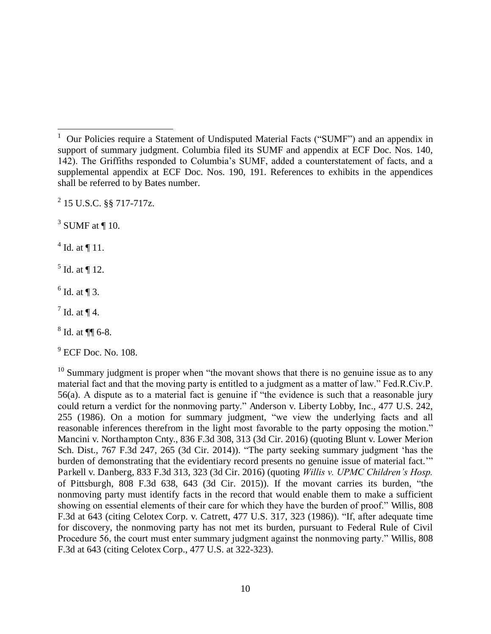$^{2}$  15 U.S.C. §§ 717-717z.

 $3$  SUMF at  $\P$  10.

 $4$  Id. at  $\P$  11.

 $\overline{a}$ 

 $<sup>5</sup>$  Id. at ¶ 12.</sup>

 $<sup>6</sup>$  Id. at ¶ 3.</sup>

 $^7$  Id. at ¶ 4.

 $8$  Id. at  $\P\P$  6-8.

9 ECF Doc. No. 108.

 $10$  Summary judgment is proper when "the movant shows that there is no genuine issue as to any material fact and that the moving party is entitled to a judgment as a matter of law." Fed.R.Civ.P. 56(a). A dispute as to a material fact is genuine if "the evidence is such that a reasonable jury could return a verdict for the nonmoving party." Anderson v. Liberty Lobby, Inc., 477 U.S. 242, 255 (1986). On a motion for summary judgment, "we view the underlying facts and all reasonable inferences therefrom in the light most favorable to the party opposing the motion." Mancini v. Northampton Cnty., 836 F.3d 308, 313 (3d Cir. 2016) (quoting Blunt v. Lower Merion Sch. Dist., 767 F.3d 247, 265 (3d Cir. 2014)). "The party seeking summary judgment 'has the burden of demonstrating that the evidentiary record presents no genuine issue of material fact.'" Parkell v. Danberg, 833 F.3d 313, 323 (3d Cir. 2016) (quoting *Willis v. UPMC Children's Hosp.*  of Pittsburgh, 808 F.3d 638, 643 (3d Cir. 2015)). If the movant carries its burden, "the nonmoving party must identify facts in the record that would enable them to make a sufficient showing on essential elements of their care for which they have the burden of proof." Willis, 808 F.3d at 643 (citing Celotex Corp. v. Catrett, 477 U.S. 317, 323 (1986)). "If, after adequate time for discovery, the nonmoving party has not met its burden, pursuant to Federal Rule of Civil Procedure 56, the court must enter summary judgment against the nonmoving party." Willis, 808 F.3d at 643 (citing Celotex Corp., 477 U.S. at 322-323).

<sup>&</sup>lt;sup>1</sup> Our Policies require a Statement of Undisputed Material Facts ("SUMF") and an appendix in support of summary judgment. Columbia filed its SUMF and appendix at ECF Doc. Nos. 140, 142). The Griffiths responded to Columbia's SUMF, added a counterstatement of facts, and a supplemental appendix at ECF Doc. Nos. 190, 191. References to exhibits in the appendices shall be referred to by Bates number.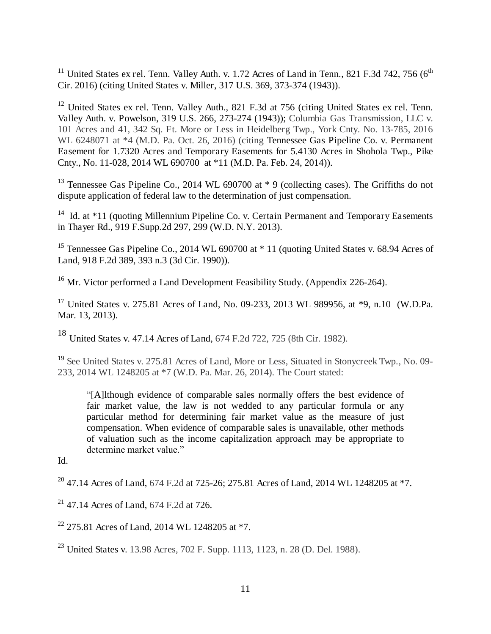$\overline{a}$ <sup>11</sup> United States ex rel. Tenn. Valley Auth. v. 1.72 Acres of Land in Tenn., 821 F.3d 742, 756 (6<sup>th</sup> Cir. 2016) (citing United States v. Miller, 317 U.S. 369, 373-374 (1943)).

<sup>12</sup> United States ex rel. Tenn. Valley Auth., 821 F.3d at 756 (citing United States ex rel. Tenn. Valley Auth. v. Powelson, 319 U.S. 266, 273-274 (1943)); Columbia Gas Transmission, LLC v. 101 Acres and 41, 342 Sq. Ft. More or Less in Heidelberg Twp., York Cnty. No. 13-785, 2016 WL 6248071 at \*4 (M.D. Pa. Oct. 26, 2016) (citing Tennessee Gas Pipeline Co. v. Permanent Easement for 1.7320 Acres and Temporary Easements for 5.4130 Acres in Shohola Twp., Pike Cnty., No. 11-028, 2014 WL 690700 at \*11 (M.D. Pa. Feb. 24, 2014)).

<sup>13</sup> Tennessee Gas Pipeline Co., 2014 WL 690700 at  $*$  9 (collecting cases). The Griffiths do not dispute application of federal law to the determination of just compensation.

<sup>14</sup> Id. at \*11 (quoting Millennium Pipeline Co. v. Certain Permanent and Temporary Easements in Thayer Rd., 919 F.Supp.2d 297, 299 (W.D. N.Y. 2013).

<sup>15</sup> Tennessee Gas Pipeline Co., 2014 WL 690700 at \* 11 (quoting United States v. 68.94 Acres of Land, 918 F.2d 389, 393 n.3 (3d Cir. 1990)).

<sup>16</sup> Mr. Victor performed a Land Development Feasibility Study. (Appendix 226-264).

<sup>17</sup> United States v. 275.81 Acres of Land, No. 09-233, 2013 WL 989956, at \*9, n.10 (W.D.Pa. Mar. 13, 2013).

<sup>18</sup> United States v. 47.14 Acres of Land, 674 F.2d 722, 725 (8th Cir. 1982).

<sup>19</sup> See United States v. 275.81 Acres of Land, More or Less, Situated in Stonycreek Twp., No. 09-233, 2014 WL 1248205 at \*7 (W.D. Pa. Mar. 26, 2014). The Court stated:

"[A]lthough evidence of comparable sales normally offers the best evidence of fair market value, the law is not wedded to any particular formula or any particular method for determining fair market value as the measure of just compensation. When evidence of comparable sales is unavailable, other methods of valuation such as the income capitalization approach may be appropriate to determine market value."

Id.

<sup>20</sup> 47.14 Acres of Land, 674 F.2d at 725-26; 275.81 Acres of Land, 2014 WL 1248205 at \*7.

 $21$  47.14 Acres of Land, 674 F.2d at 726.

 $22$  275.81 Acres of Land, 2014 WL 1248205 at  $*7$ .

<sup>23</sup> United States v. 13.98 Acres, 702 F. Supp. 1113, 1123, n. 28 (D. Del. 1988).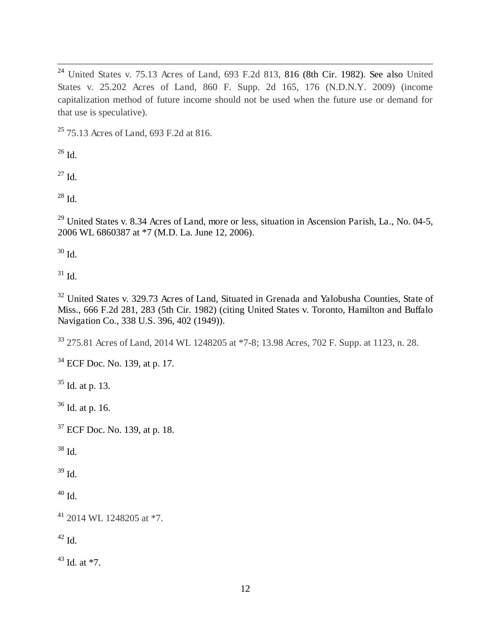$\overline{a}$  $24$  United States v. 75.13 Acres of Land, 693 F.2d 813, 816 (8th Cir. 1982). See also United States v. 25.202 Acres of Land, 860 F. Supp. 2d 165, 176 (N.D.N.Y. 2009) (income capitalization method of future income should not be used when the future use or demand for that use is speculative).

<sup>25</sup> 75.13 Acres of Land, 693 F.2d at 816.

 $^{26}$  Id.

 $^{27}$  Id.

 $^{28}$  Id.

 $^{29}$  United States v. 8.34 Acres of Land, more or less, situation in Ascension Parish, La., No. 04-5, 2006 WL 6860387 at \*7 (M.D. La. June 12, 2006).

 $30$  Id.

 $31$  Id.

<sup>32</sup> United States v. 329.73 Acres of Land, Situated in Grenada and Yalobusha Counties, State of Miss., 666 F.2d 281, 283 (5th Cir. 1982) (citing United States v. Toronto, Hamilton and Buffalo Navigation Co., 338 U.S. 396, 402 (1949)).

<sup>33</sup> 275.81 Acres of Land, 2014 WL 1248205 at \*7-8; 13.98 Acres, 702 F. Supp. at 1123, n. 28.

<sup>34</sup> ECF Doc. No. 139, at p. 17.

 $35$  Id. at p. 13.

<sup>36</sup> Id. at p. 16.

<sup>37</sup> ECF Doc. No. 139, at p. 18.

 $38$  Id.

 $39$  Id.

 $^{40}$  Id.

 $41$  2014 WL 1248205 at  $*7$ .

 $42$  Id.

 $43$  Id. at  $*7$ .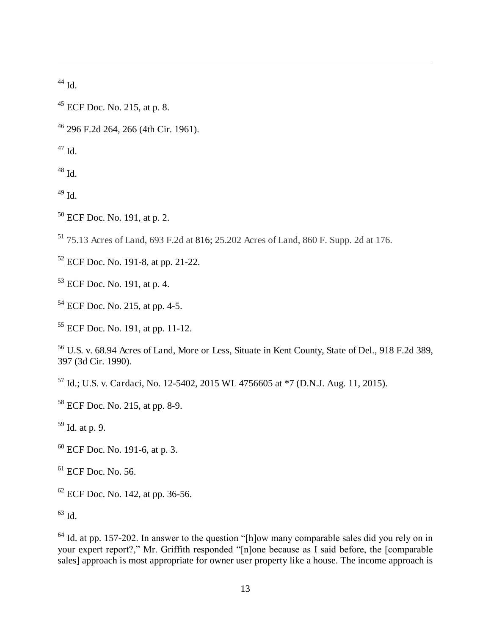Id.

 $\overline{a}$ 

- ECF Doc. No. 215, at p. 8.
- 296 F.2d 264, 266 (4th Cir. 1961).

Id.

Id.

Id.

ECF Doc. No. 191, at p. 2.

75.13 Acres of Land, 693 F.2d at 816; 25.202 Acres of Land, 860 F. Supp. 2d at 176.

ECF Doc. No. 191-8, at pp. 21-22.

ECF Doc. No. 191, at p. 4.

ECF Doc. No. 215, at pp. 4-5.

ECF Doc. No. 191, at pp. 11-12.

 U.S. v. 68.94 Acres of Land, More or Less, Situate in Kent County, State of Del., 918 F.2d 389, 397 (3d Cir. 1990).

Id.; U.S. v. Cardaci, No. 12-5402, 2015 WL 4756605 at \*7 (D.N.J. Aug. 11, 2015).

ECF Doc. No. 215, at pp. 8-9.

Id. at p. 9.

- ECF Doc. No. 191-6, at p. 3.
- $<sup>61</sup>$  ECF Doc. No. 56.</sup>

ECF Doc. No. 142, at pp. 36-56.

Id.

 Id. at pp. 157-202. In answer to the question "[h]ow many comparable sales did you rely on in your expert report?," Mr. Griffith responded "[n]one because as I said before, the [comparable sales] approach is most appropriate for owner user property like a house. The income approach is